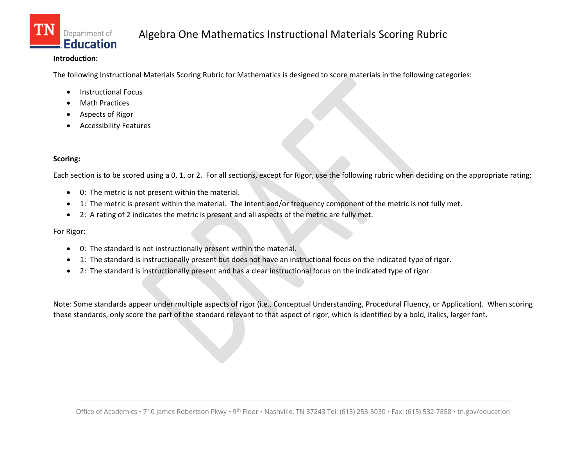

#### **Introduction:**

The following Instructional Materials Scoring Rubric for Mathematics is designed to score materials in the following categories:

- Instructional Focus
- **Math Practices**
- Aspects of Rigor
- Accessibility Features

#### **Scoring:**

Each section is to be scored using a 0, 1, or 2. For all sections, except for Rigor, use the following rubric when deciding on the appropriate rating:

- 0: The metric is not present within the material.
- 1: The metric is present within the material. The intent and/or frequency component of the metric is not fully met.
- 2: A rating of 2 indicates the metric is present and all aspects of the metric are fully met.

For Rigor:

- 0: The standard is not instructionally present within the material.
- 1: The standard is instructionally present but does not have an instructional focus on the indicated type of rigor.
- 2: The standard is instructionally present and has a clear instructional focus on the indicated type of rigor.

Note: Some standards appear under multiple aspects of rigor (i.e., Conceptual Understanding, Procedural Fluency, or Application). When scoring these standards, only score the part of the standard relevant to that aspect of rigor, which is identified by a bold, italics, larger font.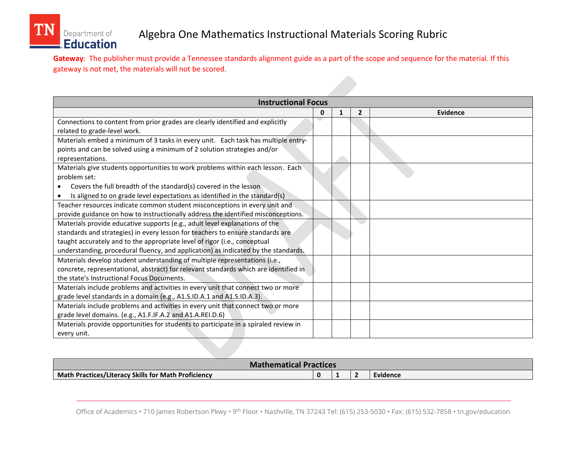

**Gateway**: The publisher must provide a Tennessee standards alignment guide as a part of the scope and sequence for the material. If this gateway is not met, the materials will not be scored.

| <b>Instructional Focus</b>                                                           |   |   |                |                 |  |
|--------------------------------------------------------------------------------------|---|---|----------------|-----------------|--|
|                                                                                      | 0 | 1 | $\overline{2}$ | <b>Evidence</b> |  |
| Connections to content from prior grades are clearly identified and explicitly       |   |   |                |                 |  |
| related to grade-level work.                                                         |   |   |                |                 |  |
| Materials embed a minimum of 3 tasks in every unit. Each task has multiple entry-    |   |   |                |                 |  |
| points and can be solved using a minimum of 2 solution strategies and/or             |   |   |                |                 |  |
| representations.                                                                     |   |   |                |                 |  |
| Materials give students opportunities to work problems within each lesson. Each      |   |   |                |                 |  |
| problem set:                                                                         |   |   |                |                 |  |
| Covers the full breadth of the standard(s) covered in the lesson                     |   |   |                |                 |  |
| Is aligned to on grade level expectations as identified in the standard(s)           |   |   |                |                 |  |
| Teacher resources indicate common student misconceptions in every unit and           |   |   |                |                 |  |
| provide guidance on how to instructionally address the identified misconceptions.    |   |   |                |                 |  |
| Materials provide educative supports (e.g., adult level explanations of the          |   |   |                |                 |  |
| standards and strategies) in every lesson for teachers to ensure standards are       |   |   |                |                 |  |
| taught accurately and to the appropriate level of rigor (i.e., conceptual            |   |   |                |                 |  |
| understanding, procedural fluency, and application) as indicated by the standards.   |   |   |                |                 |  |
| Materials develop student understanding of multiple representations (i.e.,           |   |   |                |                 |  |
| concrete, representational, abstract) for relevant standards which are identified in |   |   |                |                 |  |
| the state's Instructional Focus Documents.                                           |   |   |                |                 |  |
| Materials include problems and activities in every unit that connect two or more     |   |   |                |                 |  |
| grade level standards in a domain (e.g., A1.S.ID.A.1 and A1.S.ID.A.3).               |   |   |                |                 |  |
| Materials include problems and activities in every unit that connect two or more     |   |   |                |                 |  |
| grade level domains. (e.g., A1.F.IF.A.2 and A1.A.REI.D.6)                            |   |   |                |                 |  |
| Materials provide opportunities for students to participate in a spiraled review in  |   |   |                |                 |  |
| every unit.                                                                          |   |   |                |                 |  |

| <b>Mathematical Practices</b>                       |  |          |
|-----------------------------------------------------|--|----------|
| Math Practices/Literacy Skills for Math Proficiency |  | Evidence |

Office of Academics • 710 James Robertson Pkwy • 9<sup>th</sup> Floor • Nashville, TN 37243 Tel: (615) 253-5030 • Fax: (615) 532-7858 • tn.gov/education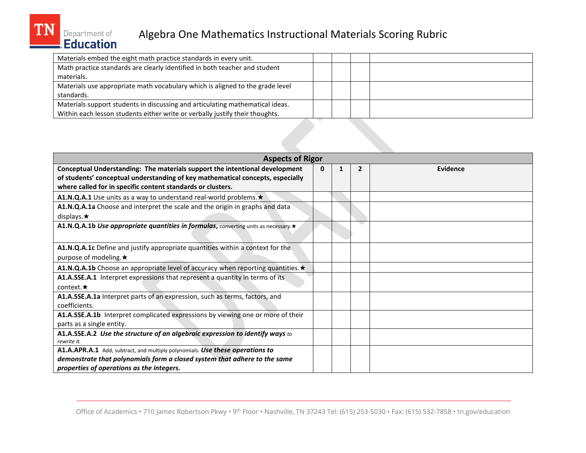### Department of<br>Fducation Algebra One Mathematics Instructional Materials Scoring Rubric

| Materials embed the eight math practice standards in every unit.              |  |  |
|-------------------------------------------------------------------------------|--|--|
| Math practice standards are clearly identified in both teacher and student    |  |  |
| materials.                                                                    |  |  |
| Materials use appropriate math vocabulary which is aligned to the grade level |  |  |
| standards.                                                                    |  |  |
| Materials support students in discussing and articulating mathematical ideas. |  |  |
| Within each lesson students either write or verbally justify their thoughts.  |  |  |
|                                                                               |  |  |

| <b>Aspects of Rigor</b>                                                             |   |  |                |          |  |
|-------------------------------------------------------------------------------------|---|--|----------------|----------|--|
| Conceptual Understanding: The materials support the intentional development         | 0 |  | $\overline{2}$ | Evidence |  |
| of students' conceptual understanding of key mathematical concepts, especially      |   |  |                |          |  |
| where called for in specific content standards or clusters.                         |   |  |                |          |  |
| A1.N.Q.A.1 Use units as a way to understand real-world problems. *                  |   |  |                |          |  |
| A1.N.Q.A.1a Choose and interpret the scale and the origin in graphs and data        |   |  |                |          |  |
| displays. $\star$                                                                   |   |  |                |          |  |
| A1.N.Q.A.1b Use appropriate quantities in formulas, converting units as necessary.* |   |  |                |          |  |
|                                                                                     |   |  |                |          |  |
| A1.N.Q.A.1c Define and justify appropriate quantities within a context for the      |   |  |                |          |  |
| purpose of modeling. $\star$                                                        |   |  |                |          |  |
| A1.N.Q.A.1b Choose an appropriate level of accuracy when reporting quantities. *    |   |  |                |          |  |
| A1.A.SSE.A.1 Interpret expressions that represent a quantity in terms of its        |   |  |                |          |  |
| context. $\star$                                                                    |   |  |                |          |  |
| A1.A.SSE.A.1a Interpret parts of an expression, such as terms, factors, and         |   |  |                |          |  |
| coefficients.                                                                       |   |  |                |          |  |
| A1.A.SSE.A.1b Interpret complicated expressions by viewing one or more of their     |   |  |                |          |  |
| parts as a single entity.                                                           |   |  |                |          |  |
| A1.A.SSE.A.2 Use the structure of an algebraic expression to identify ways to       |   |  |                |          |  |
| rewrite it.                                                                         |   |  |                |          |  |
| A1.A.APR.A.1 Add, subtract, and multiply polynomials. Use these operations to       |   |  |                |          |  |
| demonstrate that polynomials form a closed system that adhere to the same           |   |  |                |          |  |
| properties of operations as the integers.                                           |   |  |                |          |  |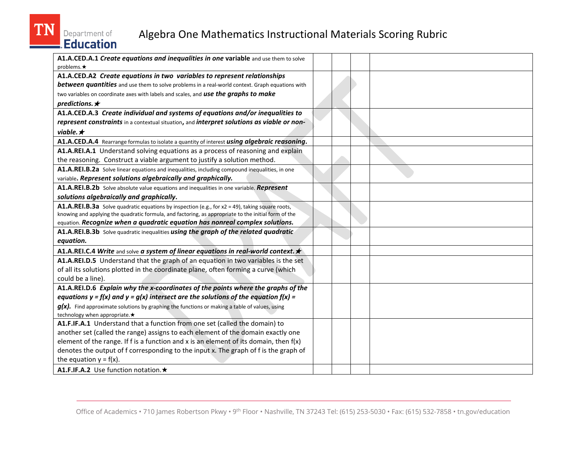

# Department of<br>Education

| A1.A.CED.A.1 Create equations and inequalities in one variable and use them to solve                   |  |  |
|--------------------------------------------------------------------------------------------------------|--|--|
| problems. $\star$                                                                                      |  |  |
| A1.A.CED.A2 Create equations in two variables to represent relationships                               |  |  |
| <b>between quantities</b> and use them to solve problems in a real-world context. Graph equations with |  |  |
| two variables on coordinate axes with labels and scales, and use the graphs to make                    |  |  |
| predictions. $\star$                                                                                   |  |  |
| A1.A.CED.A.3 Create individual and systems of equations and/or inequalities to                         |  |  |
| represent constraints in a contextual situation, and interpret solutions as viable or non-             |  |  |
| viable. $\star$                                                                                        |  |  |
| A1.A.CED.A.4 Rearrange formulas to isolate a quantity of interest using algebraic reasoning.           |  |  |
| A1.A.REI.A.1 Understand solving equations as a process of reasoning and explain                        |  |  |
| the reasoning. Construct a viable argument to justify a solution method.                               |  |  |
| A1.A.REI.B.2a Solve linear equations and inequalities, including compound inequalities, in one         |  |  |
| variable. Represent solutions algebraically and graphically.                                           |  |  |
| A1.A.REI.B.2b Solve absolute value equations and inequalities in one variable. Represent               |  |  |
| solutions algebraically and graphically.                                                               |  |  |
| A1.A.REI.B.3a Solve quadratic equations by inspection (e.g., for x2 = 49), taking square roots,        |  |  |
| knowing and applying the quadratic formula, and factoring, as appropriate to the initial form of the   |  |  |
| equation. Recognize when a quadratic equation has nonreal complex solutions.                           |  |  |
| A1.A.REI.B.3b Solve quadratic inequalities using the graph of the related quadratic                    |  |  |
| equation.                                                                                              |  |  |
| A1.A.REI.C.4 Write and solve a system of linear equations in real-world context. $\star$               |  |  |
| A1.A.REI.D.5 Understand that the graph of an equation in two variables is the set                      |  |  |
| of all its solutions plotted in the coordinate plane, often forming a curve (which                     |  |  |
| could be a line).                                                                                      |  |  |
| A1.A.REI.D.6 Explain why the x-coordinates of the points where the graphs of the                       |  |  |
| equations $y = f(x)$ and $y = g(x)$ intersect are the solutions of the equation $f(x) =$               |  |  |
| $g(x)$ . Find approximate solutions by graphing the functions or making a table of values, using       |  |  |
| technology when appropriate.★                                                                          |  |  |
| A1.F.IF.A.1 Understand that a function from one set (called the domain) to                             |  |  |
| another set (called the range) assigns to each element of the domain exactly one                       |  |  |
| element of the range. If $f$ is a function and $x$ is an element of its domain, then $f(x)$            |  |  |
| denotes the output of f corresponding to the input x. The graph of f is the graph of                   |  |  |
| the equation $y = f(x)$ .                                                                              |  |  |
| A1.F.IF.A.2 Use function notation. ★                                                                   |  |  |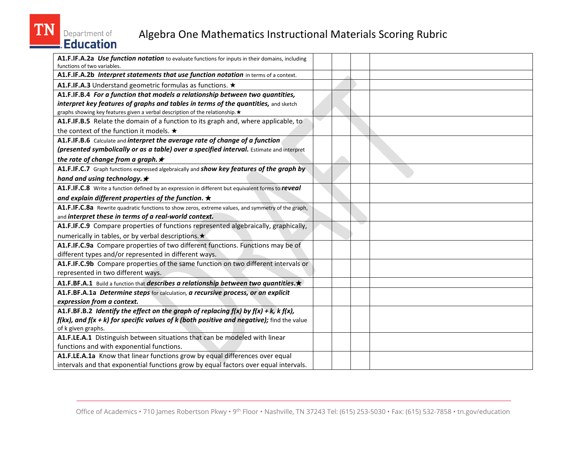### Department of<br>Education Algebra One Mathematics Instructional Materials Scoring Rubric

| A1.F.IF.A.2a Use function notation to evaluate functions for inputs in their domains, including<br>functions of two variables. |  |  |
|--------------------------------------------------------------------------------------------------------------------------------|--|--|
| A1.F.IF.A.2b Interpret statements that use function notation in terms of a context.                                            |  |  |
| A1.F.IF.A.3 Understand geometric formulas as functions. ★                                                                      |  |  |
| A1.F.IF.B.4 For a function that models a relationship between two quantities,                                                  |  |  |
| interpret key features of graphs and tables in terms of the quantities, and sketch                                             |  |  |
| graphs showing key features given a verbal description of the relationship. *                                                  |  |  |
| A1.F.IF.B.5 Relate the domain of a function to its graph and, where applicable, to                                             |  |  |
| the context of the function it models. ★                                                                                       |  |  |
| A1.F.IF.B.6 Calculate and interpret the average rate of change of a function                                                   |  |  |
| (presented symbolically or as a table) over a specified interval. Estimate and interpret                                       |  |  |
| the rate of change from a graph. $\star$                                                                                       |  |  |
| A1.F.IF.C.7 Graph functions expressed algebraically and show key features of the graph by                                      |  |  |
| hand and using technology. $\star$                                                                                             |  |  |
| A1.F.IF.C.8 Write a function defined by an expression in different but equivalent forms to reveal                              |  |  |
| and explain different properties of the function. $\star$                                                                      |  |  |
| A1.F.IF.C.8a Rewrite quadratic functions to show zeros, extreme values, and symmetry of the graph,                             |  |  |
| and interpret these in terms of a real-world context.                                                                          |  |  |
| A1.F.IF.C.9 Compare properties of functions represented algebraically, graphically,                                            |  |  |
| numerically in tables, or by verbal descriptions. ★                                                                            |  |  |
| A1.F.IF.C.9a Compare properties of two different functions. Functions may be of                                                |  |  |
| different types and/or represented in different ways.                                                                          |  |  |
| A1.F.IF.C.9b Compare properties of the same function on two different intervals or                                             |  |  |
| represented in two different ways.                                                                                             |  |  |
| A1.F.BF.A.1 Build a function that describes a relationship between two quantities.                                             |  |  |
| A1.F.BF.A.1a Determine steps for calculation, a recursive process, or an explicit                                              |  |  |
| expression from a context.                                                                                                     |  |  |
| A1.F.BF.B.2 Identify the effect on the graph of replacing $f(x)$ by $f(x) + k$ , $k f(x)$ ,                                    |  |  |
| $f(kx)$ , and $f(x + k)$ for specific values of k (both positive and negative); find the value                                 |  |  |
| of k given graphs.                                                                                                             |  |  |
| A1.F.LE.A.1 Distinguish between situations that can be modeled with linear                                                     |  |  |
| functions and with exponential functions.                                                                                      |  |  |
| A1.F.LE.A.1a Know that linear functions grow by equal differences over equal                                                   |  |  |
| intervals and that exponential functions grow by equal factors over equal intervals.                                           |  |  |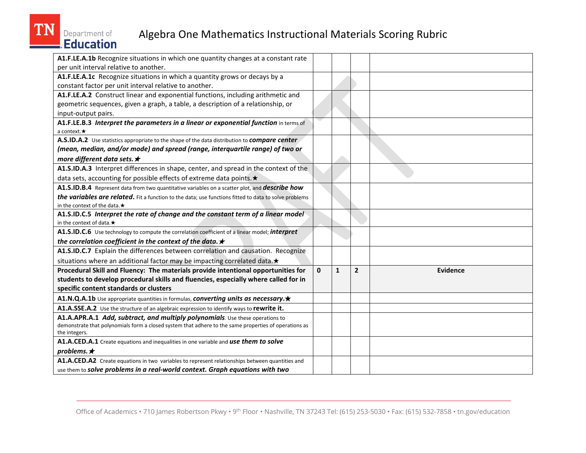| A1.F.LE.A.1b Recognize situations in which one quantity changes at a constant rate                    |              |              |                |          |
|-------------------------------------------------------------------------------------------------------|--------------|--------------|----------------|----------|
| per unit interval relative to another.                                                                |              |              |                |          |
| A1.F.LE.A.1c Recognize situations in which a quantity grows or decays by a                            |              |              |                |          |
| constant factor per unit interval relative to another.                                                |              |              |                |          |
| A1.F.LE.A.2 Construct linear and exponential functions, including arithmetic and                      |              |              |                |          |
| geometric sequences, given a graph, a table, a description of a relationship, or                      |              |              |                |          |
| input-output pairs.                                                                                   |              |              |                |          |
| A1.F.LE.B.3 Interpret the parameters in a linear or exponential function in terms of                  |              |              |                |          |
| a context. $\star$                                                                                    |              |              |                |          |
| A.S.ID.A.2 Use statistics appropriate to the shape of the data distribution to <i>compare center</i>  |              |              |                |          |
| (mean, median, and/or mode) and spread (range, interquartile range) of two or                         |              |              |                |          |
| more different data sets. ★                                                                           |              |              |                |          |
| A1.S.ID.A.3 Interpret differences in shape, center, and spread in the context of the                  |              |              |                |          |
| data sets, accounting for possible effects of extreme data points. *                                  |              |              |                |          |
| A1.S.ID.B.4 Represent data from two quantitative variables on a scatter plot, and <i>describe how</i> |              |              |                |          |
| the variables are related. Fit a function to the data; use functions fitted to data to solve problems |              |              |                |          |
| in the context of the data. $\star$                                                                   |              |              |                |          |
| A1.S.ID.C.5 Interpret the rate of change and the constant term of a linear model                      |              |              |                |          |
| in the context of data. $\star$                                                                       |              |              |                |          |
| A1.S.ID.C.6 Use technology to compute the correlation coefficient of a linear model; interpret        |              |              |                |          |
| the correlation coefficient in the context of the data. $\star$                                       |              |              |                |          |
| A1.S.ID.C.7 Explain the differences between correlation and causation. Recognize                      |              |              |                |          |
| situations where an additional factor may be impacting correlated data. *                             |              |              |                |          |
| Procedural Skill and Fluency: The materials provide intentional opportunities for                     | $\mathbf{0}$ | $\mathbf{1}$ | $\overline{2}$ | Evidence |
| students to develop procedural skills and fluencies, especially where called for in                   |              |              |                |          |
| specific content standards or clusters                                                                |              |              |                |          |
| A1.N.Q.A.1b Use appropriate quantities in formulas, converting units as necessary.*                   |              |              |                |          |
| A1.A.SSE.A.2 Use the structure of an algebraic expression to identify ways to rewrite it.             |              |              |                |          |
| A1.A.APR.A.1 Add, subtract, and multiply polynomials. Use these operations to                         |              |              |                |          |
| demonstrate that polynomials form a closed system that adhere to the same properties of operations as |              |              |                |          |
| the integers.                                                                                         |              |              |                |          |
| A1.A.CED.A.1 Create equations and inequalities in one variable and use them to solve                  |              |              |                |          |
| problems. $\star$                                                                                     |              |              |                |          |
| A1.A.CED.A2 Create equations in two variables to represent relationships between quantities and       |              |              |                |          |
| use them to solve problems in a real-world context. Graph equations with two                          |              |              |                |          |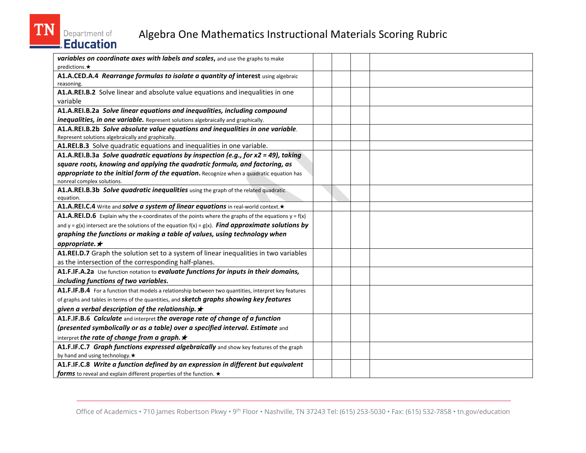### Department of<br>Education Algebra One Mathematics Instructional Materials Scoring Rubric

| variables on coordinate axes with labels and scales, and use the graphs to make                              |  |  |
|--------------------------------------------------------------------------------------------------------------|--|--|
| predictions. $\star$                                                                                         |  |  |
| A1.A.CED.A.4 Rearrange formulas to isolate a quantity of interest using algebraic<br>reasoning.              |  |  |
| A1.A.REI.B.2 Solve linear and absolute value equations and inequalities in one                               |  |  |
| variable                                                                                                     |  |  |
| A1.A.REI.B.2a Solve linear equations and inequalities, including compound                                    |  |  |
| inequalities, in one variable. Represent solutions algebraically and graphically.                            |  |  |
| A1.A.REI.B.2b Solve absolute value equations and inequalities in one variable.                               |  |  |
| Represent solutions algebraically and graphically.                                                           |  |  |
| A1.REI.B.3 Solve quadratic equations and inequalities in one variable.                                       |  |  |
| A1.A.REI.B.3a Solve quadratic equations by inspection (e.g., for $x2 = 49$ ), taking                         |  |  |
| square roots, knowing and applying the quadratic formula, and factoring, as                                  |  |  |
| appropriate to the initial form of the equation. Recognize when a quadratic equation has                     |  |  |
| nonreal complex solutions.                                                                                   |  |  |
| A1.A.REI.B.3b Solve quadratic inequalities using the graph of the related quadratic                          |  |  |
| equation.                                                                                                    |  |  |
| A1.A.REI.C.4 Write and solve a system of linear equations in real-world context. *                           |  |  |
| <b>A1.A.REI.D.6</b> Explain why the x-coordinates of the points where the graphs of the equations $y = f(x)$ |  |  |
| and $y = g(x)$ intersect are the solutions of the equation $f(x) = g(x)$ . Find approximate solutions by     |  |  |
| graphing the functions or making a table of values, using technology when                                    |  |  |
| appropriate. $\star$                                                                                         |  |  |
| A1.REI.D.7 Graph the solution set to a system of linear inequalities in two variables                        |  |  |
| as the intersection of the corresponding half-planes.                                                        |  |  |
| A1.F.IF.A.2a Use function notation to evaluate functions for inputs in their domains,                        |  |  |
| including functions of two variables.                                                                        |  |  |
| A1.F.IF.B.4 For a function that models a relationship between two quantities, interpret key features         |  |  |
| of graphs and tables in terms of the quantities, and <b>sketch graphs showing key features</b>               |  |  |
| given a verbal description of the relationship. $\star$                                                      |  |  |
| A1.F.IF.B.6 Calculate and interpret the average rate of change of a function                                 |  |  |
| (presented symbolically or as a table) over a specified interval. Estimate and                               |  |  |
| interpret the rate of change from a graph. $\star$                                                           |  |  |
| A1.F.IF.C.7 Graph functions expressed algebraically and show key features of the graph                       |  |  |
| by hand and using technology. *                                                                              |  |  |
| A1.F.IF.C.8 Write a function defined by an expression in different but equivalent                            |  |  |
| forms to reveal and explain different properties of the function. $\star$                                    |  |  |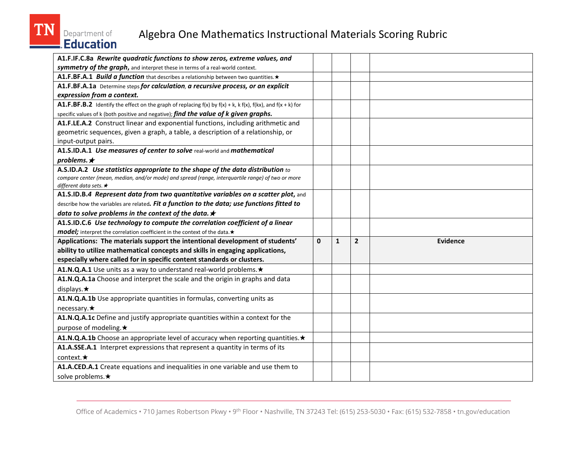### Department of<br>Education Algebra One Mathematics Instructional Materials Scoring Rubric

| A1.F.IF.C.8a Rewrite quadratic functions to show zeros, extreme values, and                                              |              |              |                |          |
|--------------------------------------------------------------------------------------------------------------------------|--------------|--------------|----------------|----------|
| symmetry of the graph, and interpret these in terms of a real-world context.                                             |              |              |                |          |
| A1.F.BF.A.1 Build a function that describes a relationship between two quantities. *                                     |              |              |                |          |
| A1.F.BF.A.1a Determine steps for calculation, a recursive process, or an explicit                                        |              |              |                |          |
| expression from a context.                                                                                               |              |              |                |          |
| A1.F.BF.B.2 Identify the effect on the graph of replacing $f(x)$ by $f(x) + k$ , k $f(x)$ , $f(kx)$ , and $f(x + k)$ for |              |              |                |          |
| specific values of k (both positive and negative); find the value of k given graphs.                                     |              |              |                |          |
| A1.F.LE.A.2 Construct linear and exponential functions, including arithmetic and                                         |              |              |                |          |
| geometric sequences, given a graph, a table, a description of a relationship, or                                         |              |              |                |          |
| input-output pairs.                                                                                                      |              |              |                |          |
| A1.S.ID.A.1 Use measures of center to solve real-world and mathematical                                                  |              |              |                |          |
| problems. $\star$                                                                                                        |              |              |                |          |
| A.S.ID.A.2 Use statistics appropriate to the shape of the data distribution to                                           |              |              |                |          |
| compare center (mean, median, and/or mode) and spread (range, interquartile range) of two or more                        |              |              |                |          |
| different data sets. $\star$<br>A1.S.ID.B.4 Represent data from two quantitative variables on a scatter plot, and        |              |              |                |          |
| describe how the variables are related. Fit a function to the data; use functions fitted to                              |              |              |                |          |
|                                                                                                                          |              |              |                |          |
| data to solve problems in the context of the data. $\star$                                                               |              |              |                |          |
| A1.S.ID.C.6 Use technology to compute the correlation coefficient of a linear                                            |              |              |                |          |
| model; interpret the correlation coefficient in the context of the data. *                                               |              |              |                |          |
| Applications: The materials support the intentional development of students'                                             | $\mathbf{0}$ | $\mathbf{1}$ | $\overline{2}$ | Evidence |
| ability to utilize mathematical concepts and skills in engaging applications,                                            |              |              |                |          |
| especially where called for in specific content standards or clusters.                                                   |              |              |                |          |
| A1.N.Q.A.1 Use units as a way to understand real-world problems. *                                                       |              |              |                |          |
| A1.N.Q.A.1a Choose and interpret the scale and the origin in graphs and data                                             |              |              |                |          |
| displays. $\star$                                                                                                        |              |              |                |          |
| A1.N.Q.A.1b Use appropriate quantities in formulas, converting units as                                                  |              |              |                |          |
| necessary. $\star$                                                                                                       |              |              |                |          |
| A1.N.Q.A.1c Define and justify appropriate quantities within a context for the                                           |              |              |                |          |
| purpose of modeling.★                                                                                                    |              |              |                |          |
| A1.N.Q.A.1b Choose an appropriate level of accuracy when reporting quantities. *                                         |              |              |                |          |
| A1.A.SSE.A.1 Interpret expressions that represent a quantity in terms of its                                             |              |              |                |          |
| context. $\star$                                                                                                         |              |              |                |          |
| A1.A.CED.A.1 Create equations and inequalities in one variable and use them to                                           |              |              |                |          |
| solve problems.★                                                                                                         |              |              |                |          |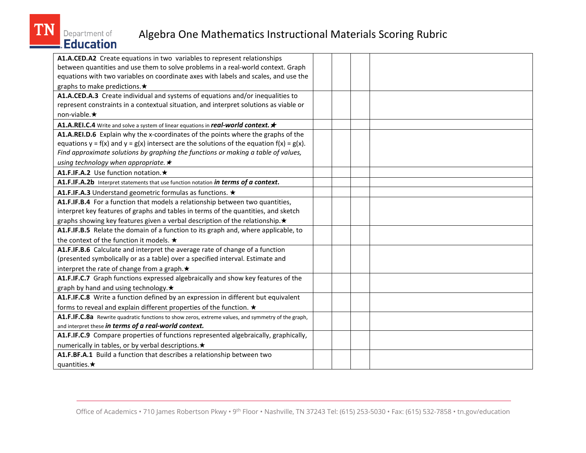

| A1.A.CED.A2 Create equations in two variables to represent relationships                           |  |  |
|----------------------------------------------------------------------------------------------------|--|--|
| between quantities and use them to solve problems in a real-world context. Graph                   |  |  |
| equations with two variables on coordinate axes with labels and scales, and use the                |  |  |
| graphs to make predictions.★                                                                       |  |  |
| A1.A.CED.A.3 Create individual and systems of equations and/or inequalities to                     |  |  |
| represent constraints in a contextual situation, and interpret solutions as viable or              |  |  |
| non-viable.★                                                                                       |  |  |
| A1.A.REI.C.4 Write and solve a system of linear equations in real-world context. *                 |  |  |
| A1.A.REI.D.6 Explain why the x-coordinates of the points where the graphs of the                   |  |  |
| equations $y = f(x)$ and $y = g(x)$ intersect are the solutions of the equation $f(x) = g(x)$ .    |  |  |
| Find approximate solutions by graphing the functions or making a table of values,                  |  |  |
| using technology when appropriate. $\star$                                                         |  |  |
| A1.F.IF.A.2 Use function notation. ★                                                               |  |  |
| A1.F.IF.A.2b Interpret statements that use function notation in terms of a context.                |  |  |
| A1.F.IF.A.3 Understand geometric formulas as functions. ★                                          |  |  |
| A1.F.IF.B.4 For a function that models a relationship between two quantities,                      |  |  |
| interpret key features of graphs and tables in terms of the quantities, and sketch                 |  |  |
| graphs showing key features given a verbal description of the relationship. *                      |  |  |
| A1.F.IF.B.5 Relate the domain of a function to its graph and, where applicable, to                 |  |  |
| the context of the function it models. ★                                                           |  |  |
| A1.F.IF.B.6 Calculate and interpret the average rate of change of a function                       |  |  |
| (presented symbolically or as a table) over a specified interval. Estimate and                     |  |  |
| interpret the rate of change from a graph. ★                                                       |  |  |
| A1.F.IF.C.7 Graph functions expressed algebraically and show key features of the                   |  |  |
| graph by hand and using technology. *                                                              |  |  |
| A1.F.IF.C.8 Write a function defined by an expression in different but equivalent                  |  |  |
| forms to reveal and explain different properties of the function. $\star$                          |  |  |
| A1.F.IF.C.8a Rewrite quadratic functions to show zeros, extreme values, and symmetry of the graph, |  |  |
| and interpret these in terms of a real-world context.                                              |  |  |
| A1.F.IF.C.9 Compare properties of functions represented algebraically, graphically,                |  |  |
| numerically in tables, or by verbal descriptions. ★                                                |  |  |
| A1.F.BF.A.1 Build a function that describes a relationship between two                             |  |  |
| quantities. $\star$                                                                                |  |  |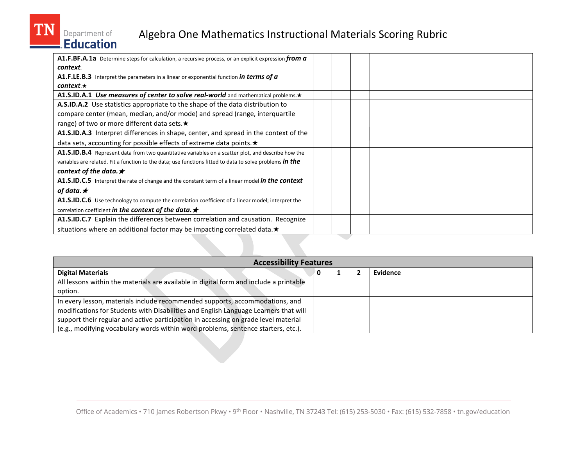# Department of<br>Education

| A1.F.BF.A.1a Determine steps for calculation, a recursive process, or an explicit expression from a             |  |
|-----------------------------------------------------------------------------------------------------------------|--|
| context.                                                                                                        |  |
| A1.F.LE.B.3 Interpret the parameters in a linear or exponential function in terms of a                          |  |
| $context.\star$                                                                                                 |  |
| A1.S.ID.A.1 Use measures of center to solve real-world and mathematical problems. $\star$                       |  |
| A.S.ID.A.2 Use statistics appropriate to the shape of the data distribution to                                  |  |
| compare center (mean, median, and/or mode) and spread (range, interquartile                                     |  |
| range) of two or more different data sets. ★                                                                    |  |
| A1.S.ID.A.3 Interpret differences in shape, center, and spread in the context of the                            |  |
| data sets, accounting for possible effects of extreme data points. *                                            |  |
| A1.S.ID.B.4 Represent data from two quantitative variables on a scatter plot, and describe how the              |  |
| variables are related. Fit a function to the data; use functions fitted to data to solve problems <i>in the</i> |  |
| context of the data. $\star$                                                                                    |  |
| <b>A1.S.ID.C.5</b> Interpret the rate of change and the constant term of a linear model in the context          |  |
| of data. $\star$                                                                                                |  |
| A1.S.ID.C.6 Use technology to compute the correlation coefficient of a linear model; interpret the              |  |
| correlation coefficient in the context of the data. $\star$                                                     |  |
| A1.S.ID.C.7 Explain the differences between correlation and causation. Recognize                                |  |
| situations where an additional factor may be impacting correlated data. $\star$                                 |  |

| <b>Accessibility Features</b>                                                          |  |  |  |          |  |  |
|----------------------------------------------------------------------------------------|--|--|--|----------|--|--|
| <b>Digital Materials</b>                                                               |  |  |  | Evidence |  |  |
| All lessons within the materials are available in digital form and include a printable |  |  |  |          |  |  |
| option.                                                                                |  |  |  |          |  |  |
| In every lesson, materials include recommended supports, accommodations, and           |  |  |  |          |  |  |
| modifications for Students with Disabilities and English Language Learners that will   |  |  |  |          |  |  |
| support their regular and active participation in accessing on grade level material    |  |  |  |          |  |  |
| (e.g., modifying vocabulary words within word problems, sentence starters, etc.).      |  |  |  |          |  |  |